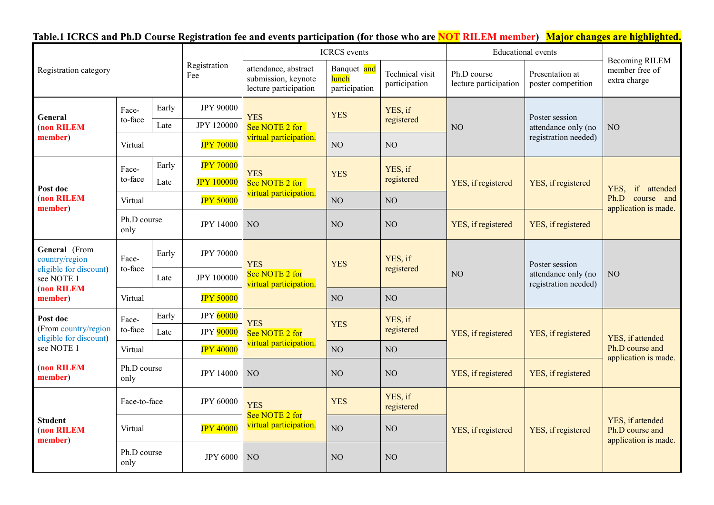| Table.1 ICRCS and Ph.D Course Registration fee and events participation (for those who are NOT RILEM member) Major changes are highlighted. |  |  |  |  |  |  |
|---------------------------------------------------------------------------------------------------------------------------------------------|--|--|--|--|--|--|
|---------------------------------------------------------------------------------------------------------------------------------------------|--|--|--|--|--|--|

| Registration category                                                   |                                                                                                           |                     |                                                                      | <b>ICRCS</b> events                                    |                                  |                                      | <b>Educational</b> events             |                                                               |                                                                   |
|-------------------------------------------------------------------------|-----------------------------------------------------------------------------------------------------------|---------------------|----------------------------------------------------------------------|--------------------------------------------------------|----------------------------------|--------------------------------------|---------------------------------------|---------------------------------------------------------------|-------------------------------------------------------------------|
|                                                                         |                                                                                                           | Registration<br>Fee | attendance, abstract<br>submission, keynote<br>lecture participation | Banquet and<br>lunch<br>participation                  | Technical visit<br>participation | Ph.D course<br>lecture participation | Presentation at<br>poster competition | <b>Becoming RILEM</b><br>member free of<br>extra charge       |                                                                   |
| General<br>(non RILEM                                                   | Face-                                                                                                     | Early               | <b>JPY 90000</b>                                                     | <b>YES</b><br>See NOTE 2 for                           | <b>YES</b>                       | YES, if                              | NO                                    | Poster session<br>attendance only (no<br>registration needed) | NO                                                                |
|                                                                         | to-face                                                                                                   | Late                | <b>JPY 120000</b>                                                    |                                                        |                                  | registered                           |                                       |                                                               |                                                                   |
| member)                                                                 | Virtual                                                                                                   |                     | <b>JPY 70000</b>                                                     | virtual participation.                                 | N <sub>O</sub>                   | NO                                   |                                       |                                                               |                                                                   |
|                                                                         | Face-                                                                                                     | Early               | <b>JPY 70000</b>                                                     | <b>YES</b>                                             |                                  | YES, if<br>registered                | YES, if registered                    | YES, if registered                                            | if attended<br>YES,<br>Ph.D<br>course and<br>application is made. |
| Post doc                                                                | to-face                                                                                                   | Late                | <b>JPY 100000</b>                                                    | See NOTE 2 for                                         | <b>YES</b>                       |                                      |                                       |                                                               |                                                                   |
| (non RILEM<br>member)                                                   | Virtual                                                                                                   |                     | <b>JPY 50000</b>                                                     | virtual participation.                                 | N <sub>O</sub>                   | NO                                   |                                       |                                                               |                                                                   |
|                                                                         | Ph.D course<br>only                                                                                       |                     | <b>JPY 14000</b>                                                     | NO                                                     | NO <sub>1</sub>                  | NO <sub>1</sub>                      | YES, if registered                    | YES, if registered                                            |                                                                   |
| General (From<br>country/region<br>eligible for discount)<br>see NOTE 1 | Face-<br>to-face                                                                                          | Early               | <b>JPY 70000</b>                                                     | <b>YES</b><br>See NOTE 2 for<br>virtual participation. | YES, if<br><b>YES</b>            | registered                           | NO                                    | Poster session<br>attendance only (no<br>registration needed) | NO                                                                |
|                                                                         |                                                                                                           | Late                | <b>JPY 100000</b>                                                    |                                                        |                                  |                                      |                                       |                                                               |                                                                   |
| (non RILEM<br>member)                                                   | Virtual                                                                                                   |                     | <b>JPY 50000</b>                                                     |                                                        | NO <sub>1</sub>                  | NO <sub>1</sub>                      |                                       |                                                               |                                                                   |
| Post doc                                                                | Face-                                                                                                     | Early               | <b>JPY</b> 60000                                                     | <b>YES</b>                                             | YES, if<br><b>YES</b>            | registered                           | YES, if registered                    | YES, if registered                                            | YES, if attended<br>Ph.D course and<br>application is made.       |
| (From country/region<br>eligible for discount)                          | to-face                                                                                                   | Late                | JPY 90000                                                            | See NOTE 2 for                                         |                                  |                                      |                                       |                                                               |                                                                   |
| see NOTE 1                                                              | Virtual                                                                                                   |                     | <b>JPY 40000</b>                                                     | virtual participation.                                 | NO                               | NO <sub>1</sub>                      |                                       |                                                               |                                                                   |
| (non RILEM<br>member)                                                   | Ph.D course<br>only                                                                                       |                     | <b>JPY 14000</b>                                                     | NO                                                     | NO                               | NO <sub>1</sub>                      | YES, if registered                    | YES, if registered                                            |                                                                   |
| <b>Student</b><br>(non RILEM<br>member)                                 | Face-to-face<br><b>JPY 60000</b><br><b>JPY 40000</b><br>Virtual<br>Ph.D course<br><b>JPY 6000</b><br>only |                     |                                                                      | <b>YES</b><br>See NOTE 2 for<br>virtual participation. | <b>YES</b>                       | YES, if<br>registered                | YES, if registered                    | YES, if registered                                            | YES, if attended<br>Ph.D course and<br>application is made.       |
|                                                                         |                                                                                                           |                     |                                                                      |                                                        | NO                               | NO <sub>1</sub>                      |                                       |                                                               |                                                                   |
|                                                                         |                                                                                                           |                     | NO                                                                   | NO <sub>1</sub>                                        | NO <sub>1</sub>                  |                                      |                                       |                                                               |                                                                   |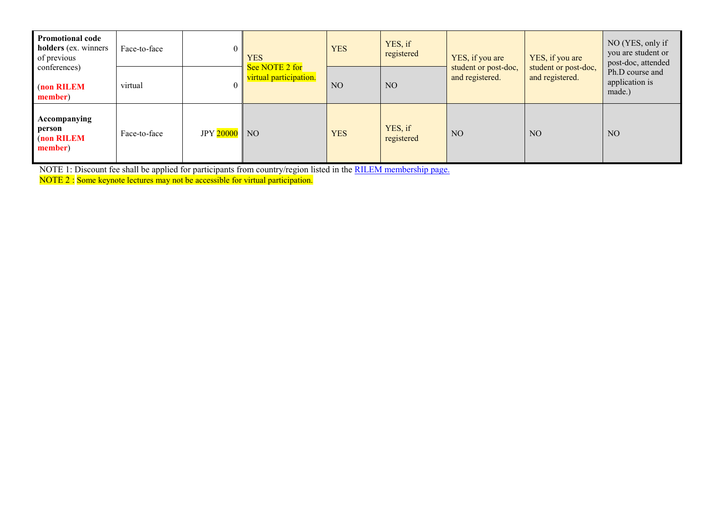| <b>Promotional code</b><br>holders (ex. winners<br>of previous | Face-to-face |                | <b>YES</b><br>See NOTE 2 for<br>virtual participation. | <b>YES</b>     | YES, if<br>registered | YES, if you are<br>student or post-doc,<br>and registered. | YES, if you are<br>student or post-doc,<br>and registered. | NO (YES, only if<br>you are student or<br>post-doc, attended<br>Ph.D course and<br>application is<br>made.) |
|----------------------------------------------------------------|--------------|----------------|--------------------------------------------------------|----------------|-----------------------|------------------------------------------------------------|------------------------------------------------------------|-------------------------------------------------------------------------------------------------------------|
| conferences)<br>(non RILEM<br>member)                          | virtual      |                |                                                        | N <sub>O</sub> | N <sub>O</sub>        |                                                            |                                                            |                                                                                                             |
| Accompanying<br>person<br>(non RILEM<br>member)                | Face-to-face | JPY $20000$ NO |                                                        | <b>YES</b>     | YES, if<br>registered | N <sub>O</sub>                                             | N <sub>O</sub>                                             | NO                                                                                                          |

NOTE 1: Discount fee shall be applied for participants from country/region listed in the [RILEM membership page.](https://www.rilem.net/article/membership-32)

NOTE 2 : Some keynote lectures may not be accessible for virtual participation.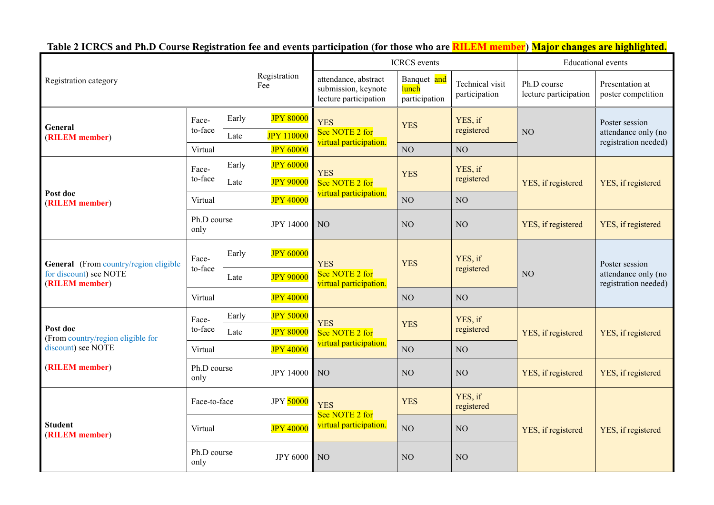**Table 2 ICRCS and Ph.D Course Registration fee and events participation (for those who are RILEM member) Major changes are highlighted.**

| Registration category                         |                     |                     |                                                                      |                                                        | <b>ICRCS</b> events              | <b>Educational</b> events            |                                       |                                                               |
|-----------------------------------------------|---------------------|---------------------|----------------------------------------------------------------------|--------------------------------------------------------|----------------------------------|--------------------------------------|---------------------------------------|---------------------------------------------------------------|
|                                               |                     | Registration<br>Fee | attendance, abstract<br>submission, keynote<br>lecture participation | Banquet and<br>lunch<br>participation                  | Technical visit<br>participation | Ph.D course<br>lecture participation | Presentation at<br>poster competition |                                                               |
|                                               | Face-               | Early               | <b>JPY 80000</b>                                                     | <b>YES</b><br>See NOTE 2 for<br>virtual participation. | <b>YES</b>                       | YES, if<br>registered                | NO                                    | Poster session<br>attendance only (no                         |
| General<br>(RILEM member)                     | to-face             | Late                | <b>JPY 110000</b>                                                    |                                                        |                                  |                                      |                                       |                                                               |
|                                               | Virtual             |                     | <b>JPY 60000</b>                                                     |                                                        | NO <sub>1</sub>                  | NO                                   |                                       | registration needed)                                          |
|                                               | Face-               | Early               | <b>JPY 60000</b>                                                     |                                                        |                                  | YES, if                              |                                       | YES, if registered                                            |
|                                               | to-face             | Late                | <b>JPY 90000</b>                                                     | <b>YES</b><br>See NOTE 2 for                           | <b>YES</b>                       | registered                           | YES, if registered                    |                                                               |
| Post doc<br>(RILEM member)                    | Virtual             |                     | <b>JPY 40000</b>                                                     | virtual participation.                                 | NO                               | NO                                   |                                       |                                                               |
|                                               | Ph.D course<br>only |                     | <b>JPY 14000</b>                                                     | NO                                                     | NO                               | NO                                   | YES, if registered                    | YES, if registered                                            |
| General (From country/region eligible         | Face-<br>to-face    | Early               | <b>JPY 60000</b>                                                     | <b>YES</b><br>See NOTE 2 for<br>virtual participation. | <b>YES</b>                       | YES, if<br>registered                | NO                                    | Poster session<br>attendance only (no<br>registration needed) |
| for discount) see NOTE<br>(RILEM member)      |                     | Late                | <b>JPY 90000</b>                                                     |                                                        |                                  |                                      |                                       |                                                               |
|                                               | Virtual             |                     | <b>JPY 40000</b>                                                     |                                                        | NO                               | NO                                   |                                       |                                                               |
|                                               | Face-               | Early               | <b>JPY 50000</b>                                                     | <b>YES</b>                                             | <b>YES</b>                       | YES, if<br>registered                | YES, if registered                    | YES, if registered                                            |
| Post doc<br>(From country/region eligible for | to-face             | Late                | <b>JPY 80000</b>                                                     | See NOTE 2 for                                         |                                  |                                      |                                       |                                                               |
| discount) see NOTE                            | Virtual             |                     | <b>JPY 40000</b>                                                     | virtual participation.                                 | NO                               | NO                                   |                                       |                                                               |
| (RILEM member)                                | Ph.D course<br>only |                     | <b>JPY 14000</b>                                                     | NO                                                     | NO                               | NO                                   | YES, if registered                    | YES, if registered                                            |
| <b>Student</b><br>(RILEM member)              | Face-to-face        |                     | JPY 50000                                                            | <b>YES</b><br>See NOTE 2 for<br>virtual participation. | <b>YES</b>                       | YES, if<br>registered                | YES, if registered                    | YES, if registered                                            |
|                                               | Virtual             |                     | <b>JPY 40000</b>                                                     |                                                        | NO                               | NO                                   |                                       |                                                               |
|                                               | Ph.D course<br>only |                     | <b>JPY 6000</b>                                                      | NO                                                     | NO                               | NO                                   |                                       |                                                               |